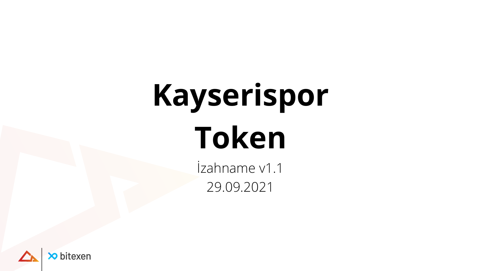# **Kayserispor Token**

İzahname v1.1 29.09.2021



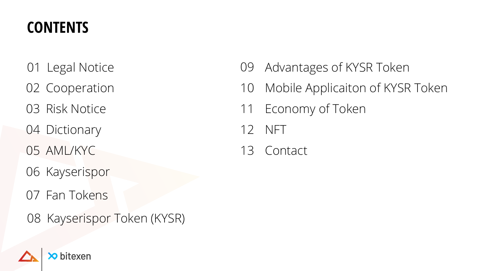#### **CONTENTS**

 Legal Notice Cooperation Risk Notice 04 Dictionary AML/KYC Fan Tokens Kayserispor Token (KYSR) NFT Contact Kayserispor



#### Advantages of KYSR Token Mobile Applicaiton of KYSR Token Economy of Token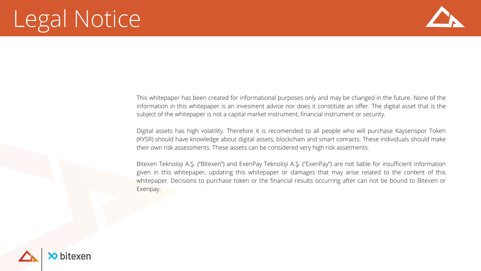## Legal Notice

This whitepaper has been created for informational purposes only and may be changed in the future. None of the information in this whitepaper is an invesment advice nor does it constitute an offer. The digital asset that is the subject of the whitepaper is not a capital market instrument, financial instrument or security.

Digital assets has high volatility. Therefore it is recomended to all people who will purchase Kayserispor Token (KYSR) should have knowledge about digital assets, blockchain and smart conracts. These individuals should make their own risk assessments. These assets can be considered very high risk assetments.

Bitexen Teknoloji A.Ş. ("Bitexen") and ExenPay Teknoloji A.Ş. ("ExenPay") are not liable for insufficient information given in this whitepaper, updating this whitepaper or damages that may arise related to the content of this whitepaper. Decisions to purchase token or the financial results occurring after can not be bound to Bitexen or Exenpay.



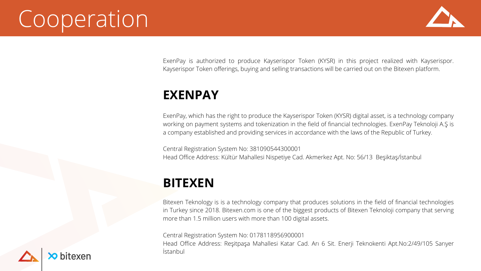## Cooperation

#### **EXENPAY**

ExenPay, which has the right to produce the Kayserispor Token (KYSR) digital asset, is a technology company working on payment systems and tokenization in the field of financial technologies. ExenPay Teknoloji A.Ş is a company established and providing services in accordance with the laws of the Republic of Turkey.

Central Registration System No: 381090544300001 Head Office Address: Kültür Mahallesi Nispetiye Cad. Akmerkez Apt. No: 56/13 Beşiktaş/İstanbul

#### **BITEXEN**

Bitexen Teknology is is a technology company that produces solutions in the field of financial technologies in Turkey since 2018. Bitexen.com is one of the biggest products of Bitexen Teknoloji company that serving more than 1.5 million users with more than 100 digital assets.

Central Registration System No: 0178118956900001 Head Office Address: Reşitpaşa Mahallesi Katar Cad. Arı 6 Sit. Enerji Teknokenti Apt.No:2/49/105 Sarıyer İstanbul





ExenPay is authorized to produce Kayserispor Token (KYSR) in this project realized with Kayserispor. Kayserispor Token offerings, buying and selling transactions will be carried out on the Bitexen platform.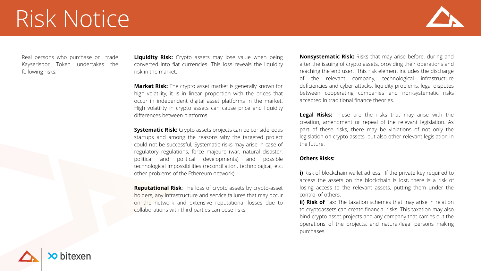### Risk Notice

**Liquidity Risk:** Crypto assets may lose value when being converted into fiat currencies. This loss reveals the liquidity risk in the market.

**Market Risk:** The crypto asset market is generally known for high volatility, it is in linear proportion with the prices that occur in independent digital asset platforms in the market. High volatility in crypto assets can cause price and liquidity differences between platforms.

**Systematic Risk:** Crypto assets projects can be consideredas startups and among the reasons why the targeted project could not be successful; Systematic risks may arise in case of regulatory regulations, force majeure (war, natural disaster, political and political developments) and possible technological impossibilities (reconciliation, technological, etc. other problems of the Ethereum network).

**Reputational Risk**: The loss of crypto assets by crypto-asset holders, any infrastructure and service failures that may occur on the network and extensive reputational losses due to collaborations with third parties can pose risks.





**i)** Risk of blockchain wallet adress: If the private key required to access the assets on the blockchain is lost, there is a risk of losing access to the relevant assets, putting them under the control of others.

**Nonsystematic Risk:** Risks that may arise before, during and after the issuing of crypto assets, providing their operations and reaching the end user. This risk element includes the discharge of the relevant company, technological infrastructure deficiencies and cyber attacks, liquidity problems, legal disputes between cooperating companies and non-systematic risks accepted in traditional finance theories.

**Legal Risks:** These are the risks that may arise with the creation, amendment or repeal of the relevant legislation. As part of these risks, there may be violations of not only the legislation on crypto assets, but also other relevant legislation in the future.

#### **Others Risks:**

**ii) Risk of** Tax: The taxation schemes that may arise in relation to cryptoassets can create financial risks. This taxation may also bind crypto-asset projects and any company that carries out the operations of the projects, and natural/legal persons making purchases.

Real persons who purchase or trade Kayserispor Token undertakes the following risks.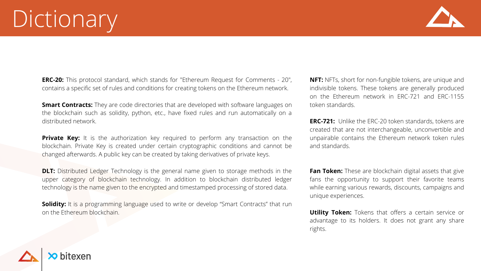**ERC-20:** This protocol standard, which stands for "Ethereum Request for Comments - 20", contains a specific set of rules and conditions for creating tokens on the Ethereum network.

**Smart Contracts:** They are code directories that are developed with software languages on the blockchain such as solidity, python, etc., have fixed rules and run automatically on a distributed network.

**Private Key:** It is the authorization key required to perform any transaction on the blockchain. Private Key is created under certain cryptographic conditions and cannot be changed afterwards. A public key can be created by taking derivatives of private keys.

**DLT:** Distributed Ledger Technology is the general name given to storage methods in the upper category of blockchain technology. In addition to blockchain distributed ledger technology is the name given to the encrypted and timestamped processing of stored data.

**Solidity:** It is a programming language used to write or develop "Smart Contracts" that run on the Ethereum blockchain.





**Fan Token:** These are blockchain digital assets that give fans the opportunity to support their favorite teams while earning various rewards, discounts, campaigns and unique experiences.

**Utility Token:** Tokens that offers a certain service or advantage to its holders. It does not grant any share rights.

**NFT:** NFTs, short for non-fungible tokens, are unique and indivisible tokens. These tokens are generally produced on the Ethereum network in ERC-721 and ERC-1155 token standards.

**ERC-721:** Unlike the ERC-20 token standards, tokens are created that are not interchangeable, unconvertible and unpairable contains the Ethereum network token rules and standards.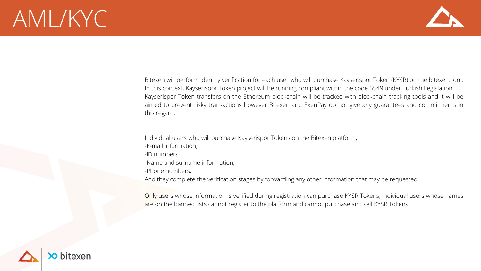#### AML/KYC

Bitexen will perform identity verification for each user who will purchase Kayserispor Token (KYSR) on the bitexen.com. In this context, Kayserispor Token project will be running compliant within the code 5549 under Turkish Legislation Kayserispor Token transfers on the Ethereum blockchain will be tracked with blockchain tracking tools and it will be aimed to prevent risky transactions however Bitexen and ExenPay do not give any guarantees and commitments in this regard.

Individual users who will purchase Kayserispor Tokens on the Bitexen platform;

- -E-mail information,
- -ID numbers,
- -Name and surname information,
- -Phone numbers,

And they complete the verification stages by forwarding any other information that may be requested.

Only users whose information is verified during registration can purchase KYSR Tokens, individual users whose names are on the banned lists cannot register to the platform and cannot purchase and sell KYSR Tokens.



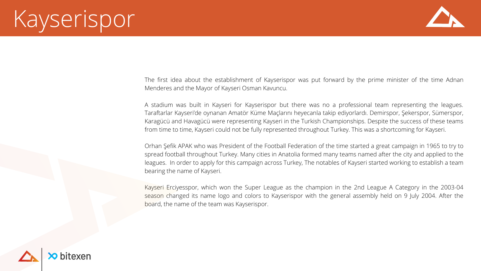The first idea about the establishment of Kayserispor was put forward by the prime minister of the time Adnan Menderes and the Mayor of Kayseri Osman Kavuncu.

A stadium was built in Kayseri for Kayserispor but there was no a professional team representing the leagues. Taraftarlar Kayseri'de oynanan Amatör Küme Maçlarını heyecanla takip ediyorlardı. Demirspor, Şekerspor, Sümerspor, Karagücü and Havagücü were representing Kayseri in the Turkish Championships. Despite the success of these teams from time to time, Kayseri could not be fully represented throughout Turkey. This was a shortcoming for Kayseri.

Orhan Şefik APAK who was President of the Football Federation of the time started a great campaign in 1965 to try to spread football throughout Turkey. Many cities in Anatolia formed many teams named after the city and applied to the leagues. In order to apply for this campaign across Turkey, The notables of Kayseri started working to establish a team bearing the name of Kayseri.

Kayseri Erciyesspor, which won the Super League as the champion in the 2nd League A Category in the 2003-04 season changed its name logo and colors to Kayserispor with the general assembly held on 9 July 2004. After the board, the name of the team was Kayserispor.





## Kayserispor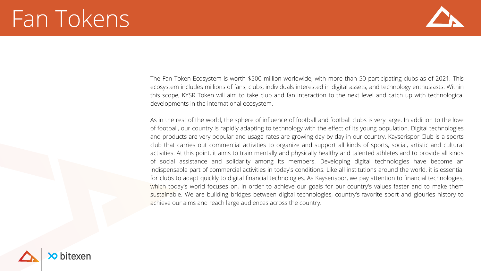#### Fan Tokens

The Fan Token Ecosystem is worth \$500 million worldwide, with more than 50 participating clubs as of 2021. This ecosystem includes millions of fans, clubs, individuals interested in digital assets, and technology enthusiasts. Within this scope, KYSR Token will aim to take club and fan interaction to the next level and catch up with technological developments in the international ecosystem.

As in the rest of the world, the sphere of influence of football and football clubs is very large. In addition to the love of football, our country is rapidly adapting to technology with the effect of its young population. Digital technologies and products are very popular and usage rates are growing day by day in our country. Kayserispor Club is a sports club that carries out commercial activities to organize and support all kinds of sports, social, artistic and cultural activities. At this point, it aims to train mentally and physically healthy and talented athletes and to provide all kinds of social assistance and solidarity among its members. Developing digital technologies have become an indispensable part of commercial activities in today's conditions. Like all institutions around the world, it is essential for clubs to adapt quickly to digital financial technologies. As Kayserispor, we pay attention to financial technologies, which today's world focuses on, in order to achieve our goals for our country's values faster and to make them sustainable. We are building bridges between digital technologies, country's favorite sport and glouries history to achieve our aims and reach large audiences across the country.



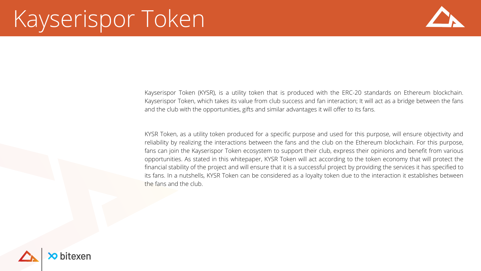## Kayserispor Token

Kayserispor Token (KYSR), is a utility token that is produced with the ERC-20 standards on Ethereum blockchain. Kayserispor Token, which takes its value from club success and fan interaction; It will act as a bridge between the fans and the club with the opportunities, gifts and similar advantages it will offer to its fans.

KYSR Token, as a utility token produced for a specific purpose and used for this purpose, will ensure objectivity and reliability by realizing the interactions between the fans and the club on the Ethereum blockchain. For this purpose, fans can join the Kayserispor Token ecosystem to support their club, express their opinions and benefit from various opportunities. As stated in this whitepaper, KYSR Token will act according to the token economy that will protect the financial stability of the project and will ensure that it is a successful project by providing the services it has specified to its fans. In a nutshells, KYSR Token can be considered as a loyalty token due to the interaction it establishes between the fans and the club.



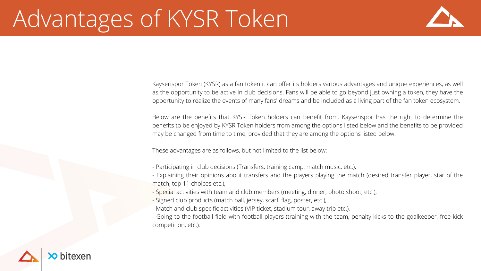## Advantages of KYSR Token

Kayserispor Token (KYSR) as a fan token it can offer its holders various advantages and unique experiences, as well as the opportunity to be active in club decisions. Fans will be able to go beyond just owning a token, they have the opportunity to realize the events of many fans' dreams and be included as a living part of the fan token ecosystem.

Below are the benefits that KYSR Token holders can benefit from. Kayserispor has the right to determine the benefits to be enjoyed by KYSR Token holders from among the options listed below and the benefits to be provided may be changed from time to time, provided that they are among the options listed below.

These advantages are as follows, but not limited to the list below:

- Explaining their opinions about transfers and the players playing the match (desired transfer player, star of the

- Participating in club decisions (Transfers, training camp, match music, etc.),
- match, top 11 choices etc.),
- Special activities with team and club members (meeting, dinner, photo shoot, etc.),
- Signed club products (match ball, jersey, scarf, flag, poster, etc.),
- Match and club specific activities (VIP ticket, stadium tour, away trip etc.),
- competition, etc.).





- Going to the football field with football players (training with the team, penalty kicks to the goalkeeper, free kick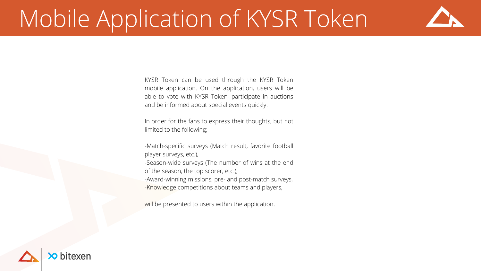## Mobile Application of KYSR Token

KYSR Token can be used through the KYSR Token mobile application. On the application, users will be able to vote with KYSR Token, participate in auctions and be informed about special events quickly.

In order for the fans to express their thoughts, but not limited to the following;

-Match-specific surveys (Match result, favorite football player surveys, etc.),

-Season-wide surveys (The number of wins at the end of the season, the top scorer, etc.),

-Award-winning missions, pre- and post-match surveys, -Knowledge competitions about teams and players,

will be presented to users within the application.



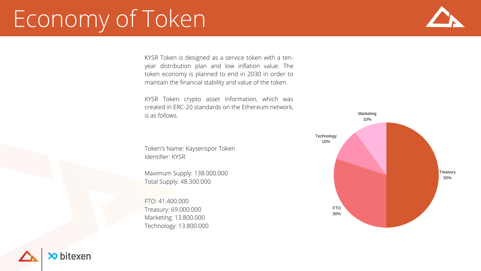Token's Name: Kayserispor Token Identifier: KYSR

Maximum Supply: 138.000.000 Total Supply: 48.300.000

FTO: 41.400.000 Treasury: 69.000.000 Marketing: 13.800.000 Technology: 13.800.000





## Economy of Token

KYSR Token is designed as a service token with a tenyear distribution plan and low inflation value. The token economy is planned to end in 2030 in order to maintain the financial stability and value of the token.

KYSR Token crypto asset information, which was created in ERC-20 standards on the Ethereum network, is as follows.

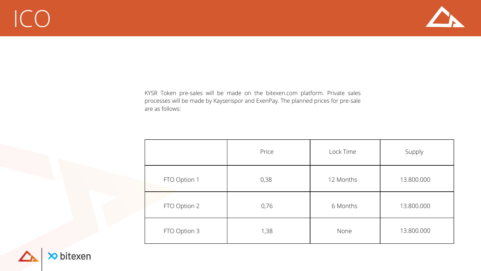## ICO

|              | Price | Lock Time | Supply     |
|--------------|-------|-----------|------------|
| FTO Option 1 | 0,38  | 12 Months | 13.800.000 |
| FTO Option 2 | 0,76  | 6 Months  | 13.800.000 |
| FTO Option 3 | 1,38  | None      | 13.800.000 |





KYSR Token pre-sales will be made on the bitexen.com platform. Private sales processes will be made by Kayserispor and ExenPay. The planned prices for pre-sale are as follows: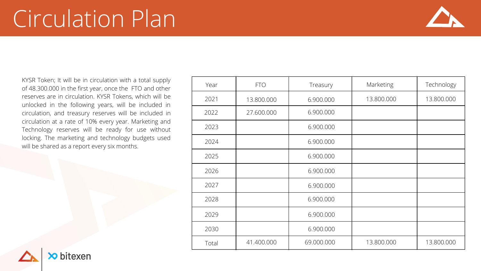KYSR Token; It will be in circulation with a total supply of 48.300.000 in the first year, once the FTO and other reserves are in circulation. KYSR Tokens, which will be unlocked in the following years, will be included in circulation, and treasury reserves will be included in circulation at a rate of 10% every year. Marketing and Technology reserves will be ready for use without locking. The marketing and technology budgets used will be shared as a report every six months.

| Year  | <b>FTO</b> | Treasury   | Marketing  | Technology |
|-------|------------|------------|------------|------------|
| 2021  | 13.800.000 | 6.900.000  | 13.800.000 | 13.800.000 |
| 2022  | 27.600.000 | 6.900.000  |            |            |
| 2023  |            | 6.900.000  |            |            |
| 2024  |            | 6.900.000  |            |            |
| 2025  |            | 6.900.000  |            |            |
| 2026  |            | 6.900.000  |            |            |
| 2027  |            | 6.900.000  |            |            |
| 2028  |            | 6.900.000  |            |            |
| 2029  |            | 6.900.000  |            |            |
| 2030  |            | 6.900.000  |            |            |
| Total | 41.400.000 | 69.000.000 | 13.800.000 | 13.800.000 |





### Circulation Plan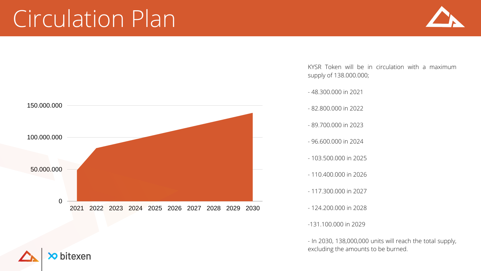KYSR Token will be in circulation with a maximum supply of 138.000.000;

- 48.300.000 in 2021
- 82.800.000 in 2022
- 89.700.000 in 2023
- 96.600.000 in 2024
- 103.500.000 in 2025
- 110.400.000 in 2026
- 117.300.000 in 2027
- 124.200.000 in 2028
- -131.100.000 in 2029

- In 2030, 138,000,000 units will reach the total supply, excluding the amounts to be burned.







#### Circulation Plan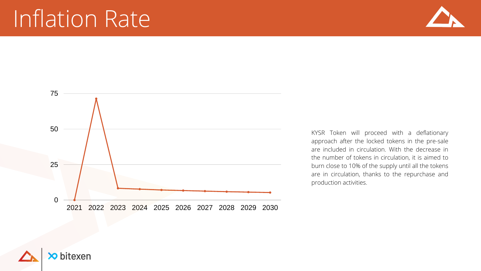





#### Inflation Rate

KYSR Token will proceed with a deflationary approach after the locked tokens in the pre-sale are included in circulation. With the decrease in the number of tokens in circulation, it is aimed to burn close to 10% of the supply until all the tokens are in circulation, thanks to the repurchase and production activities.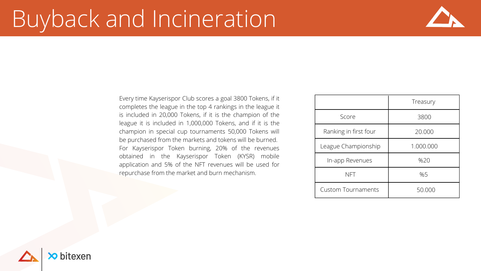#### Buyback and Incineration

Every time Kayserispor Club scores a goal 3800 Tokens, if it completes the league in the top 4 rankings in the league it is included in 20,000 Tokens, if it is the champion of the league it is included in 1,000,000 Tokens, and if it is the champion in special cup tournaments 50,000 Tokens will be purchased from the markets and tokens will be burned. For Kayserispor Token burning, 20% of the revenues obtained in the Kayserispor Token (KYSR) mobile application and 5% of the NFT revenues will be used for repurchase from the market and burn mechanism.





|                           | Treasury  |  |
|---------------------------|-----------|--|
| Score                     | 3800      |  |
| Ranking in first four     | 20.000    |  |
| League Championship       | 1.000.000 |  |
| In-app Revenues           | %20       |  |
| NFT                       | %5        |  |
| <b>Custom Tournaments</b> | 50.000    |  |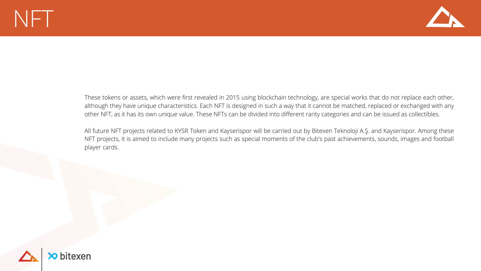#### $NFT$

These tokens or assets, which were first revealed in 2015 using blockchain technology, are special works that do not replace each other, although they have unique characteristics. Each NFT is designed in such a way that it cannot be matched, replaced or exchanged with any other NFT, as it has its own unique value. These NFTs can be divided into different rarity categories and can be issued as collectibles.

All future NFT projects related to KYSR Token and Kayserispor will be carried out by Bitexen Teknoloji A.Ş. and Kayserispor. Among these NFT projects, it is aimed to include many projects such as special moments of the club's past achievements, sounds, images and football player cards.